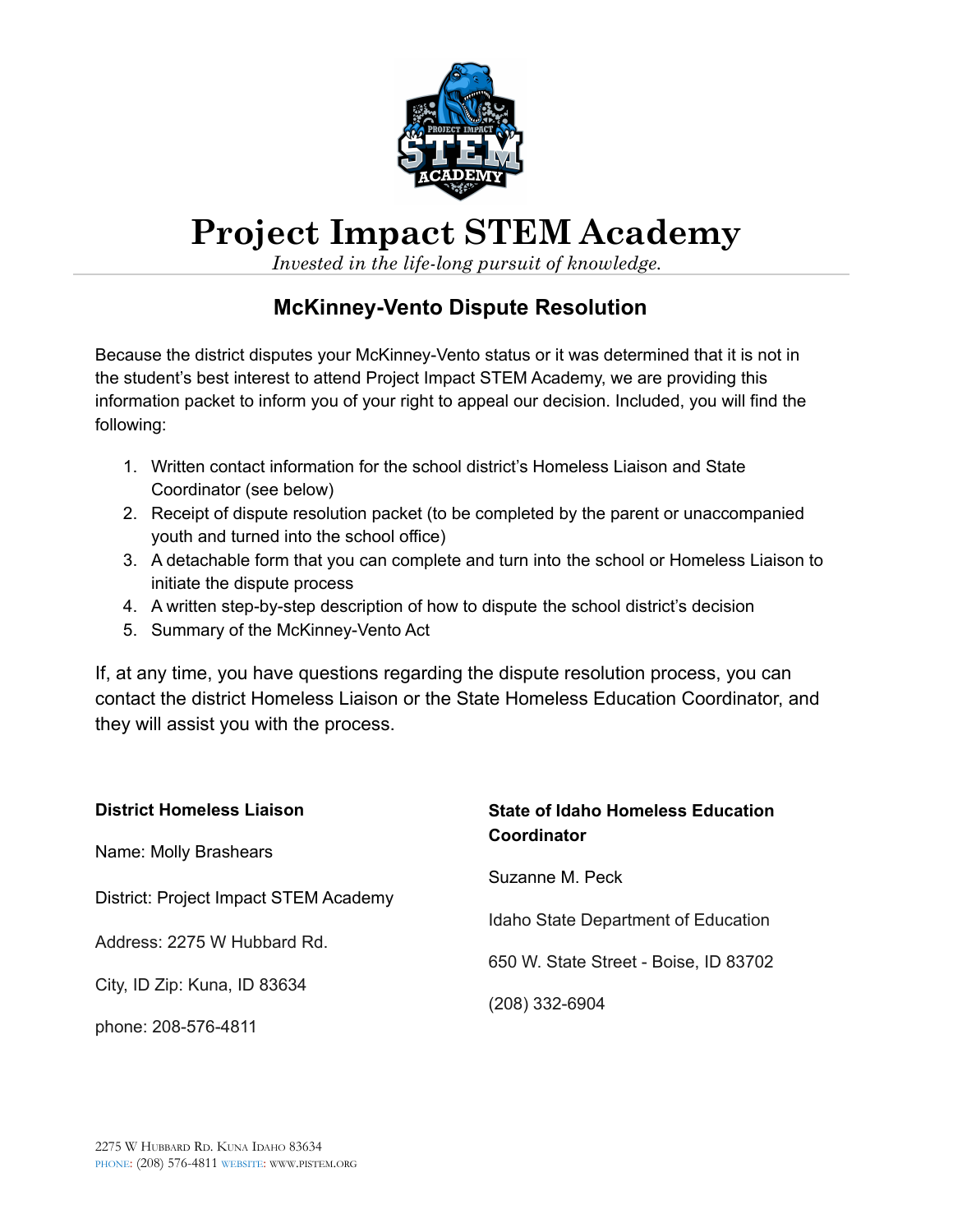

# **Project Impact STEM Academy**

*Invested in the life-long pursuit of knowledge.*

## **McKinney-Vento Dispute Resolution**

Because the district disputes your McKinney-Vento status or it was determined that it is not in the student's best interest to attend Project Impact STEM Academy, we are providing this information packet to inform you of your right to appeal our decision. Included, you will find the following:

- 1. Written contact information for the school district's Homeless Liaison and State Coordinator (see below)
- 2. Receipt of dispute resolution packet (to be completed by the parent or unaccompanied youth and turned into the school office)
- 3. A detachable form that you can complete and turn into the school or Homeless Liaison to initiate the dispute process
- 4. A written step-by-step description of how to dispute the school district's decision
- 5. Summary of the McKinney-Vento Act

If, at any time, you have questions regarding the dispute resolution process, you can contact the district Homeless Liaison or the State Homeless Education Coordinator, and they will assist you with the process.

| <b>District Homeless Liaison</b>      | <b>State of Idaho Homeless Education</b> |  |
|---------------------------------------|------------------------------------------|--|
| Name: Molly Brashears                 | Coordinator                              |  |
| District: Project Impact STEM Academy | Suzanne M. Peck                          |  |
|                                       | Idaho State Department of Education      |  |
| Address: 2275 W Hubbard Rd.           | 650 W. State Street - Boise, ID 83702    |  |
| City, ID Zip: Kuna, ID 83634          | (208) 332-6904                           |  |
| phone: 208-576-4811                   |                                          |  |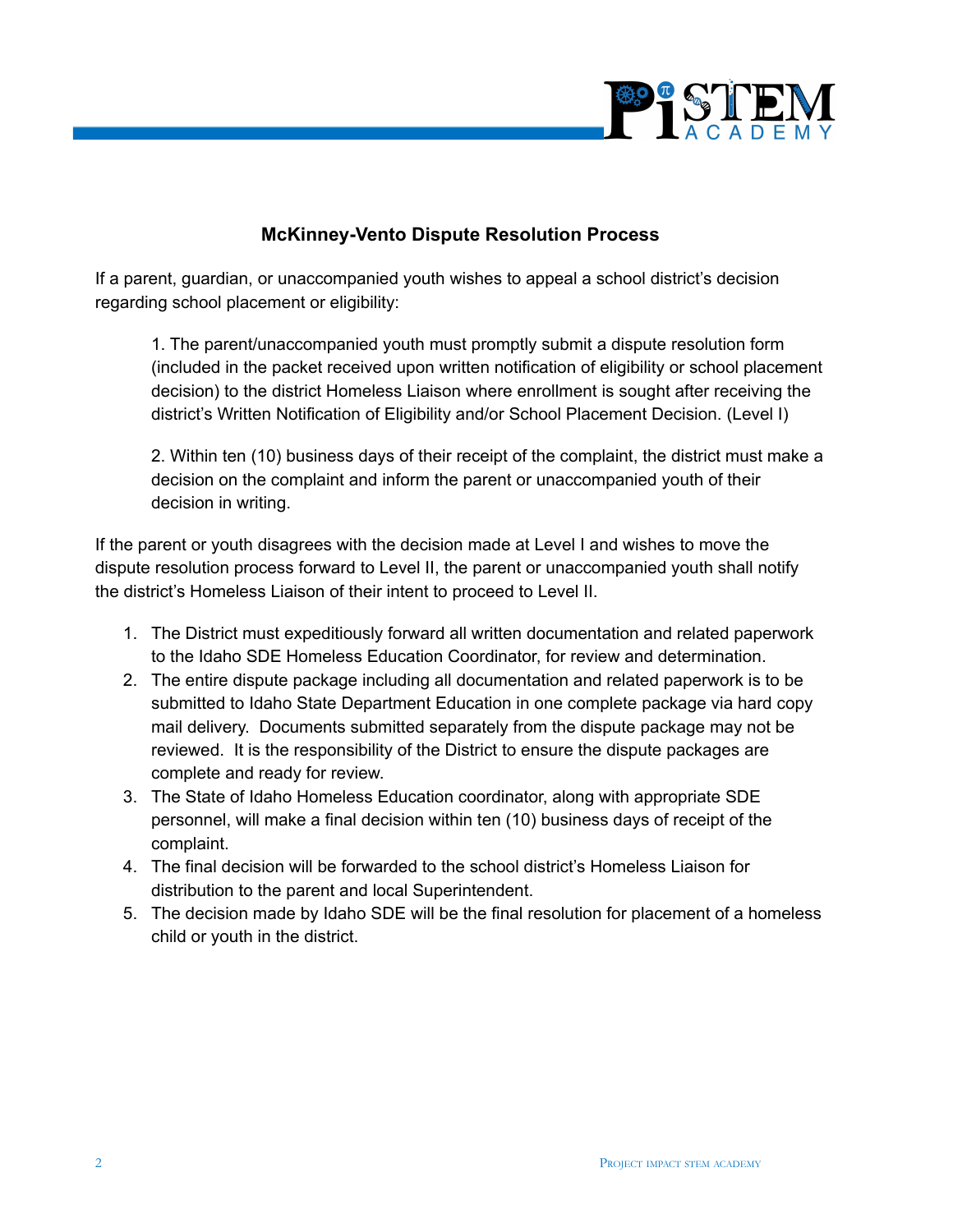

#### **McKinney-Vento Dispute Resolution Process**

If a parent, guardian, or unaccompanied youth wishes to appeal a school district's decision regarding school placement or eligibility:

1. The parent/unaccompanied youth must promptly submit a dispute resolution form (included in the packet received upon written notification of eligibility or school placement decision) to the district Homeless Liaison where enrollment is sought after receiving the district's Written Notification of Eligibility and/or School Placement Decision. (Level I)

2. Within ten (10) business days of their receipt of the complaint, the district must make a decision on the complaint and inform the parent or unaccompanied youth of their decision in writing.

If the parent or youth disagrees with the decision made at Level I and wishes to move the dispute resolution process forward to Level II, the parent or unaccompanied youth shall notify the district's Homeless Liaison of their intent to proceed to Level II.

- 1. The District must expeditiously forward all written documentation and related paperwork to the Idaho SDE Homeless Education Coordinator, for review and determination.
- 2. The entire dispute package including all documentation and related paperwork is to be submitted to Idaho State Department Education in one complete package via hard copy mail delivery. Documents submitted separately from the dispute package may not be reviewed. It is the responsibility of the District to ensure the dispute packages are complete and ready for review.
- 3. The State of Idaho Homeless Education coordinator, along with appropriate SDE personnel, will make a final decision within ten (10) business days of receipt of the complaint.
- 4. The final decision will be forwarded to the school district's Homeless Liaison for distribution to the parent and local Superintendent.
- 5. The decision made by Idaho SDE will be the final resolution for placement of a homeless child or youth in the district.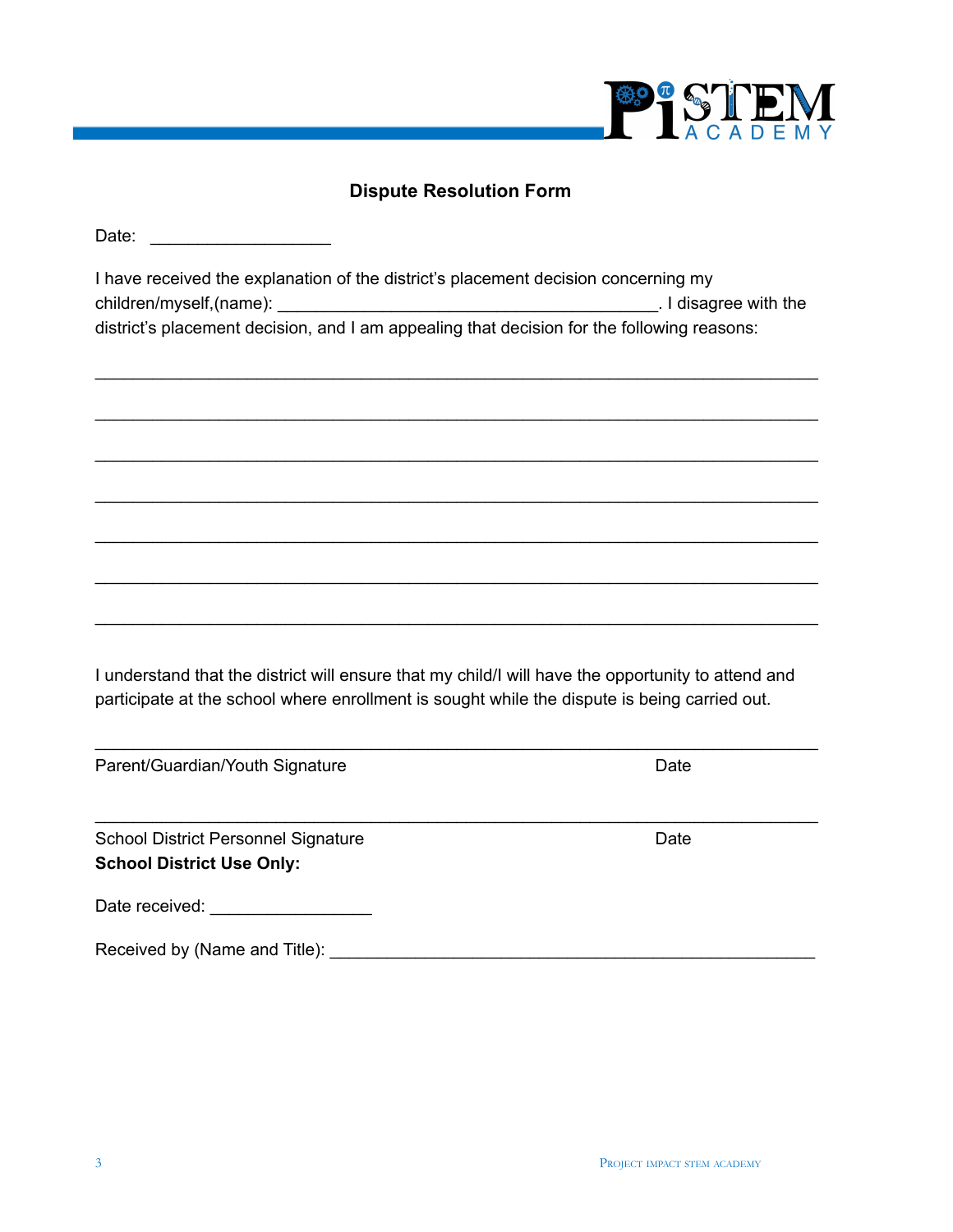

## **Dispute Resolution Form**

Date: \_\_\_\_\_\_\_\_\_\_\_\_\_\_\_\_\_\_\_

| I have received the explanation of the district's placement decision concerning my         |                     |
|--------------------------------------------------------------------------------------------|---------------------|
| children/myself, (name):                                                                   | I disagree with the |
| district's placement decision, and I am appealing that decision for the following reasons: |                     |

\_\_\_\_\_\_\_\_\_\_\_\_\_\_\_\_\_\_\_\_\_\_\_\_\_\_\_\_\_\_\_\_\_\_\_\_\_\_\_\_\_\_\_\_\_\_\_\_\_\_\_\_\_\_\_\_\_\_\_\_\_\_\_\_\_\_\_\_\_\_\_\_\_\_\_\_

\_\_\_\_\_\_\_\_\_\_\_\_\_\_\_\_\_\_\_\_\_\_\_\_\_\_\_\_\_\_\_\_\_\_\_\_\_\_\_\_\_\_\_\_\_\_\_\_\_\_\_\_\_\_\_\_\_\_\_\_\_\_\_\_\_\_\_\_\_\_\_\_\_\_\_\_

\_\_\_\_\_\_\_\_\_\_\_\_\_\_\_\_\_\_\_\_\_\_\_\_\_\_\_\_\_\_\_\_\_\_\_\_\_\_\_\_\_\_\_\_\_\_\_\_\_\_\_\_\_\_\_\_\_\_\_\_\_\_\_\_\_\_\_\_\_\_\_\_\_\_\_\_

\_\_\_\_\_\_\_\_\_\_\_\_\_\_\_\_\_\_\_\_\_\_\_\_\_\_\_\_\_\_\_\_\_\_\_\_\_\_\_\_\_\_\_\_\_\_\_\_\_\_\_\_\_\_\_\_\_\_\_\_\_\_\_\_\_\_\_\_\_\_\_\_\_\_\_\_

\_\_\_\_\_\_\_\_\_\_\_\_\_\_\_\_\_\_\_\_\_\_\_\_\_\_\_\_\_\_\_\_\_\_\_\_\_\_\_\_\_\_\_\_\_\_\_\_\_\_\_\_\_\_\_\_\_\_\_\_\_\_\_\_\_\_\_\_\_\_\_\_\_\_\_\_

\_\_\_\_\_\_\_\_\_\_\_\_\_\_\_\_\_\_\_\_\_\_\_\_\_\_\_\_\_\_\_\_\_\_\_\_\_\_\_\_\_\_\_\_\_\_\_\_\_\_\_\_\_\_\_\_\_\_\_\_\_\_\_\_\_\_\_\_\_\_\_\_\_\_\_\_

\_\_\_\_\_\_\_\_\_\_\_\_\_\_\_\_\_\_\_\_\_\_\_\_\_\_\_\_\_\_\_\_\_\_\_\_\_\_\_\_\_\_\_\_\_\_\_\_\_\_\_\_\_\_\_\_\_\_\_\_\_\_\_\_\_\_\_\_\_\_\_\_\_\_\_\_

I understand that the district will ensure that my child/I will have the opportunity to attend and participate at the school where enrollment is sought while the dispute is being carried out.

\_\_\_\_\_\_\_\_\_\_\_\_\_\_\_\_\_\_\_\_\_\_\_\_\_\_\_\_\_\_\_\_\_\_\_\_\_\_\_\_\_\_\_\_\_\_\_\_\_\_\_\_\_\_\_\_\_\_\_\_\_\_\_\_\_\_\_\_\_\_\_\_\_\_\_\_

| Parent/Guardian/Youth Signature                                                                                                                                                                                                | Date |
|--------------------------------------------------------------------------------------------------------------------------------------------------------------------------------------------------------------------------------|------|
| <b>School District Personnel Signature</b><br><b>School District Use Only:</b>                                                                                                                                                 | Date |
| Date received: Note that the state of the state of the state of the state of the state of the state of the state of the state of the state of the state of the state of the state of the state of the state of the state of th |      |
| Received by (Name and Title):                                                                                                                                                                                                  |      |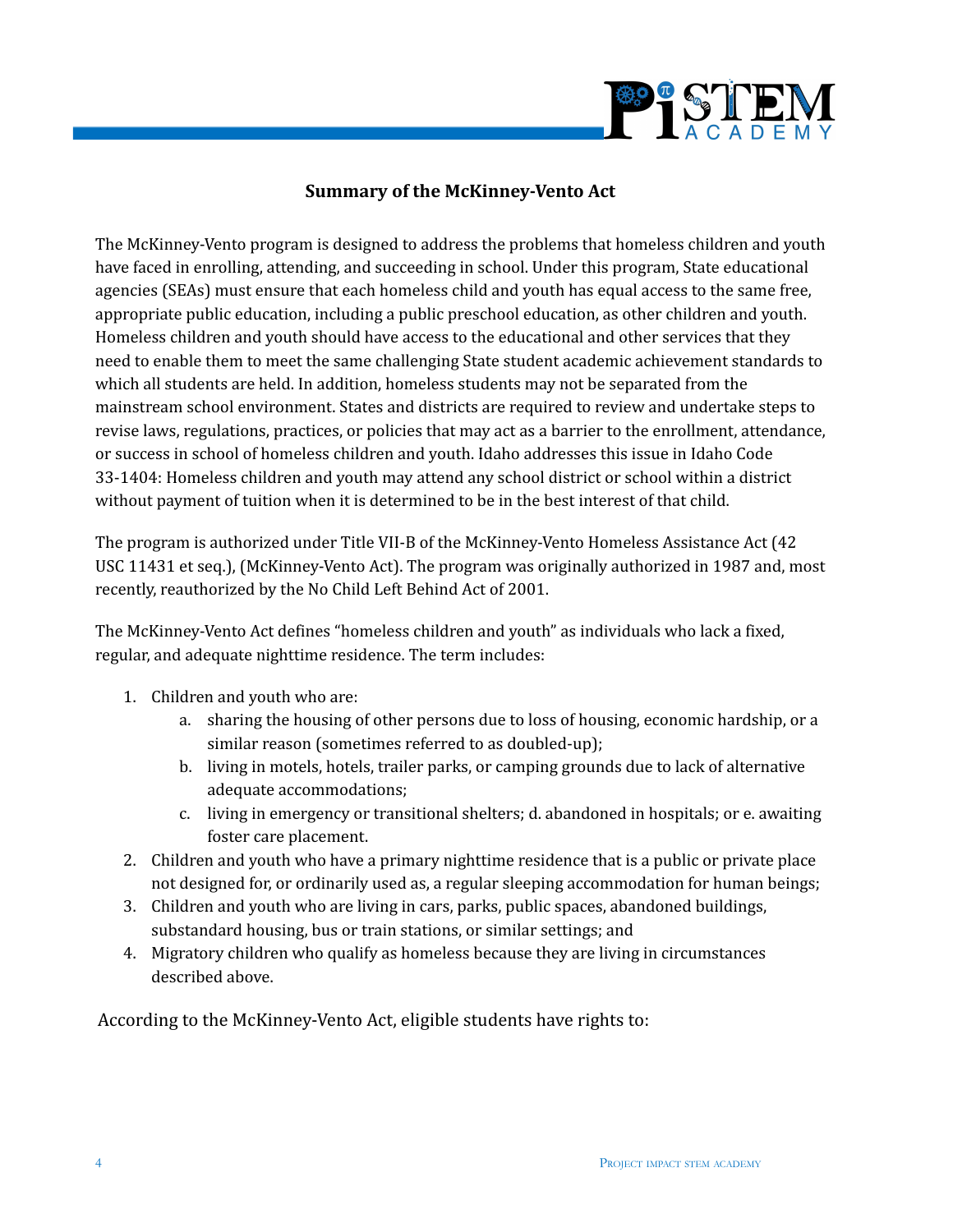

#### **Summary of the McKinney-Vento Act**

The McKinney-Vento program is designed to address the problems that homeless children and youth have faced in enrolling, attending, and succeeding in school. Under this program, State educational agencies (SEAs) must ensure that each homeless child and youth has equal access to the same free, appropriate public education, including a public preschool education, as other children and youth. Homeless children and youth should have access to the educational and other services that they need to enable them to meet the same challenging State student academic achievement standards to which all students are held. In addition, homeless students may not be separated from the mainstream school environment. States and districts are required to review and undertake steps to revise laws, regulations, practices, or policies that may act as a barrier to the enrollment, attendance, or success in school of homeless children and youth. Idaho addresses this issue in Idaho Code 33-1404: Homeless children and youth may attend any school district or school within a district without payment of tuition when it is determined to be in the best interest of that child.

The program is authorized under Title VII-B of the McKinney-Vento Homeless Assistance Act (42 USC 11431 et seq.), (McKinney-Vento Act). The program was originally authorized in 1987 and, most recently, reauthorized by the No Child Left Behind Act of 2001.

The McKinney-Vento Act defines "homeless children and youth" as individuals who lack a fixed, regular, and adequate nighttime residence. The term includes:

- 1. Children and youth who are:
	- a. sharing the housing of other persons due to loss of housing, economic hardship, or a similar reason (sometimes referred to as doubled-up);
	- b. living in motels, hotels, trailer parks, or camping grounds due to lack of alternative adequate accommodations;
	- c. living in emergency or transitional shelters; d. abandoned in hospitals; or e. awaiting foster care placement.
- 2. Children and youth who have a primary nighttime residence that is a public or private place not designed for, or ordinarily used as, a regular sleeping accommodation for human beings;
- 3. Children and youth who are living in cars, parks, public spaces, abandoned buildings, substandard housing, bus or train stations, or similar settings; and
- 4. Migratory children who qualify as homeless because they are living in circumstances described above.

According to the McKinney-Vento Act, eligible students have rights to: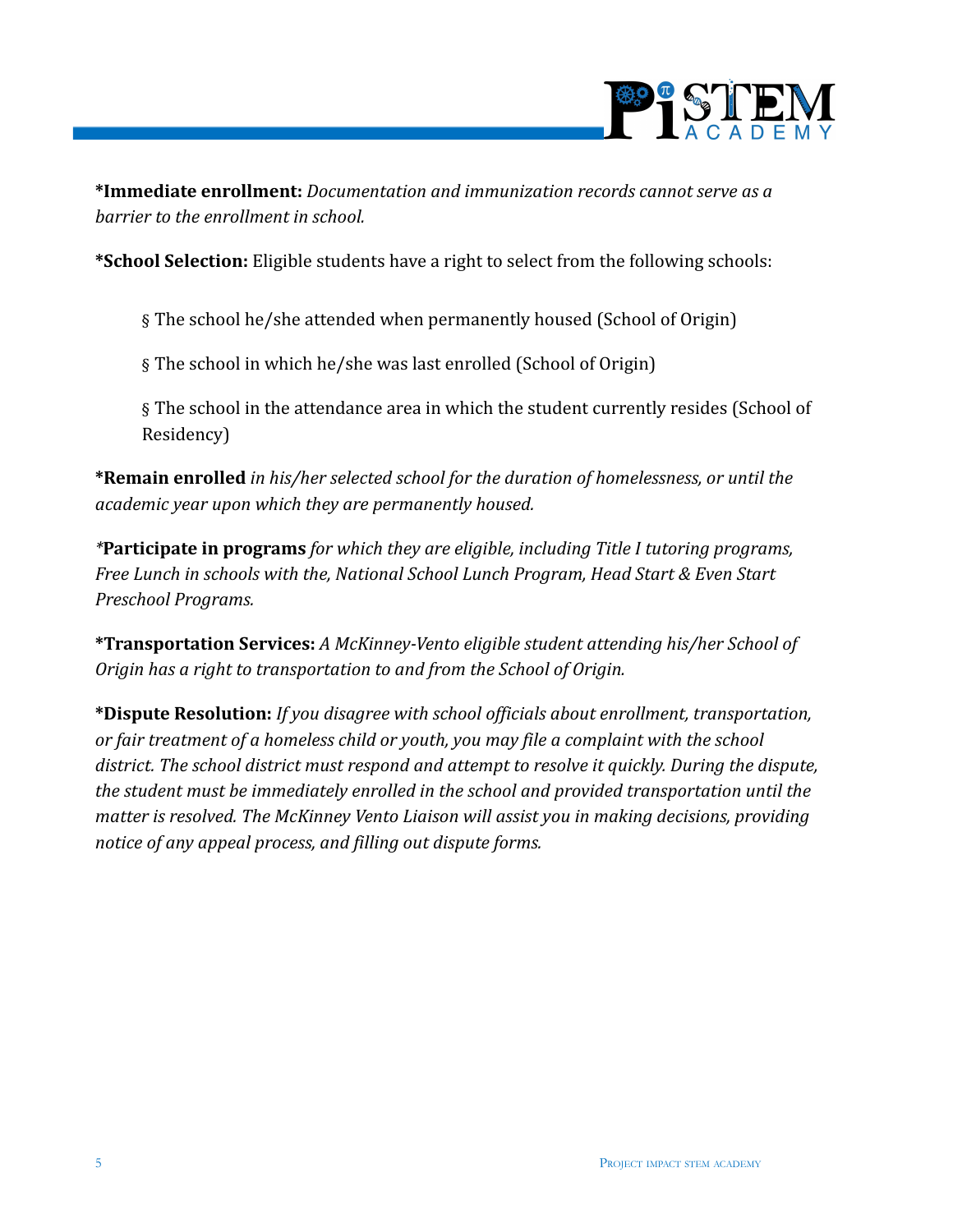

**\*Immediate enrollment:** *Documentation and immunization records cannot serve as a barrier to the enrollment in school.*

**\*School Selection:** Eligible students have a right to select from the following schools:

§ The school he/she attended when permanently housed (School of Origin)

§ The school in which he/she was last enrolled (School of Origin)

§ The school in the attendance area in which the student currently resides (School of Residency)

**\*Remain enrolled** *in his/her selected school for the duration of homelessness, or until the academic year upon which they are permanently housed.*

*\****Participate in programs** *for which they are eligible, including Title I tutoring programs, Free Lunch in schools with the, National School Lunch Program, Head Start & Even Start Preschool Programs.*

**\*Transportation Services:** *A McKinney-Vento eligible student attending his/her School of Origin has a right to transportation to and from the School of Origin.*

**\*Dispute Resolution:** *If you disagree with school officials about enrollment, transportation, or fair treatment of a homeless child or youth, you may file a complaint with the school district. The school district must respond and attempt to resolve it quickly. During the dispute, the student must be immediately enrolled in the school and provided transportation until the matter is resolved. The McKinney Vento Liaison will assist you in making decisions, providing notice of any appeal process, and filling out dispute forms.*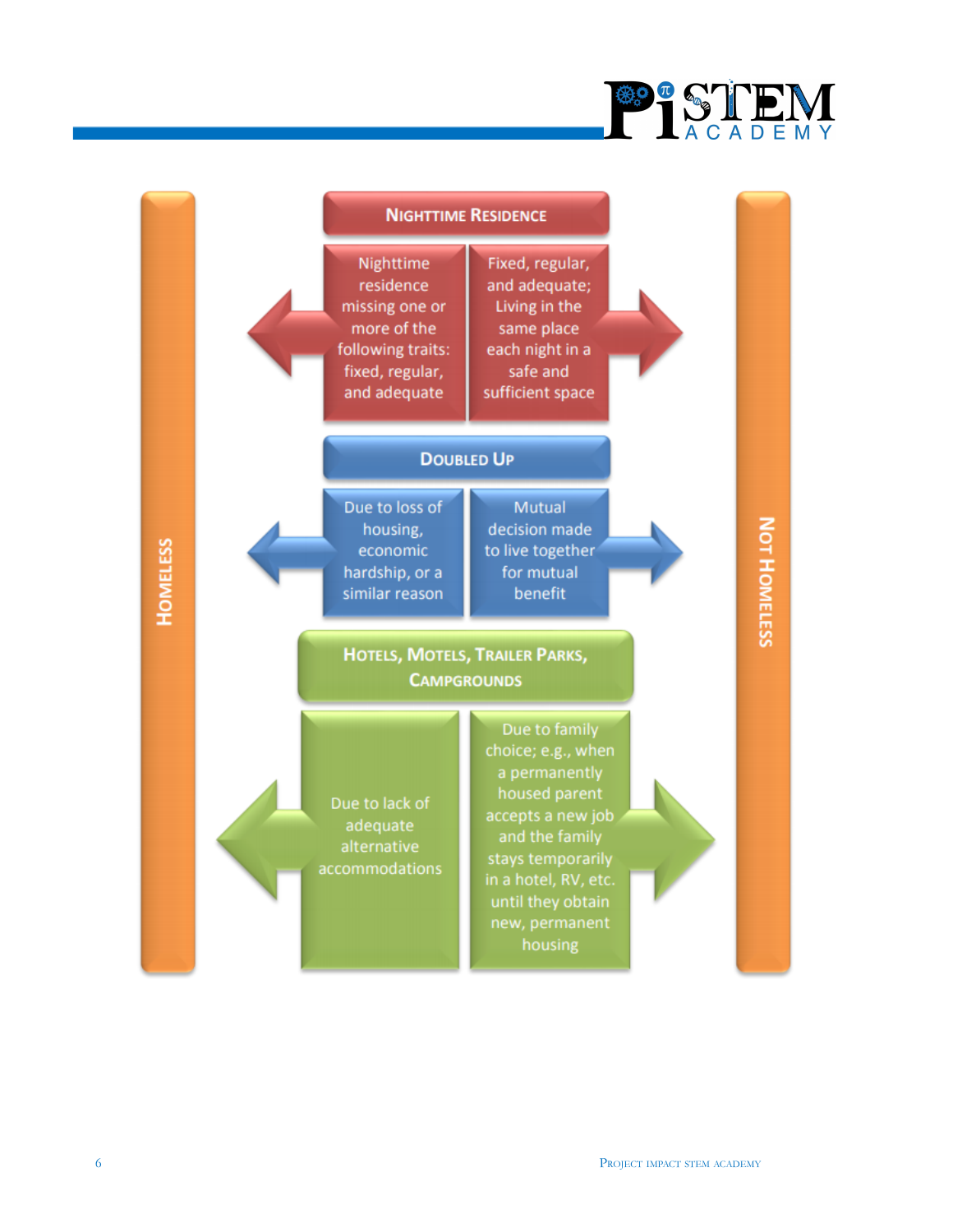

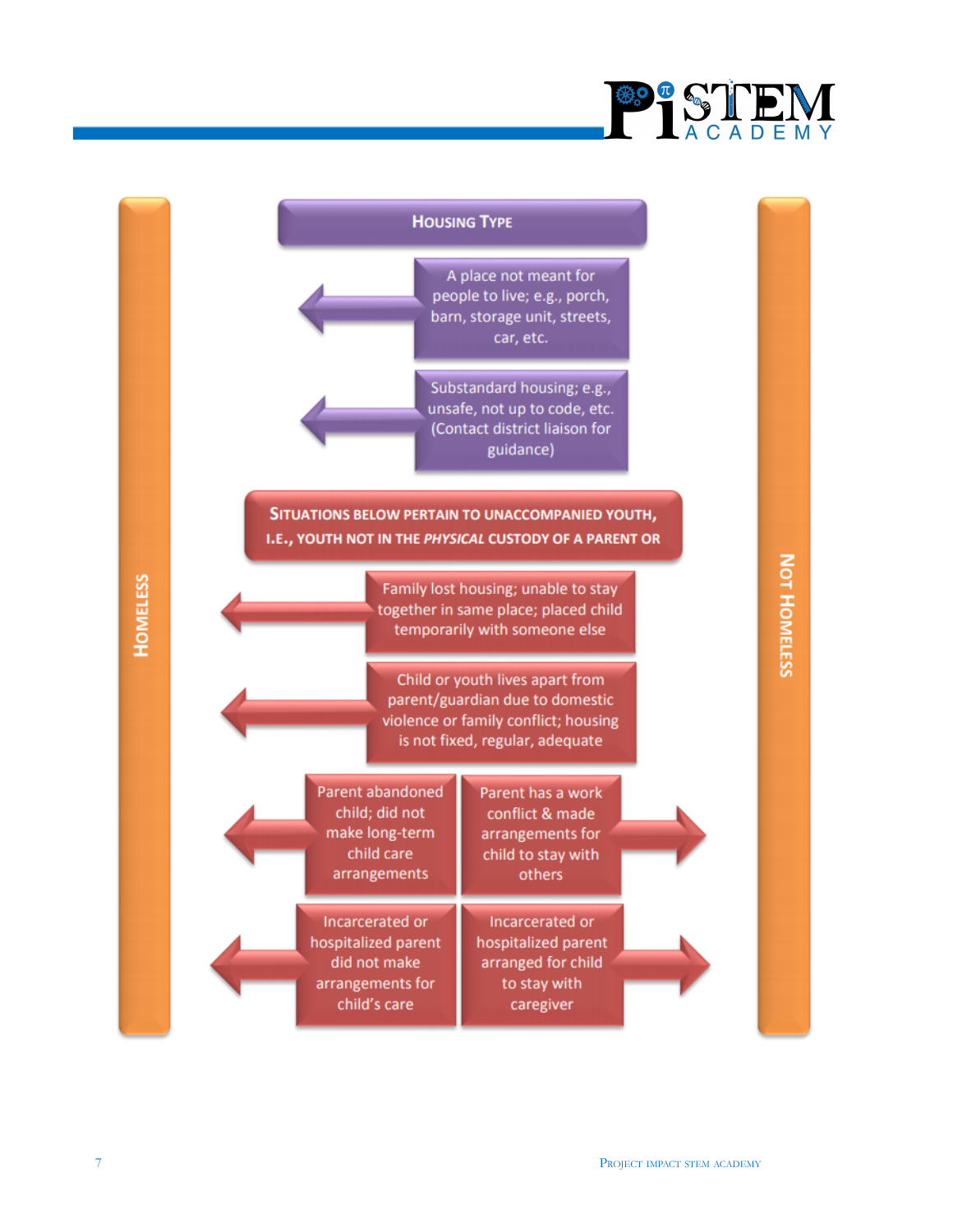